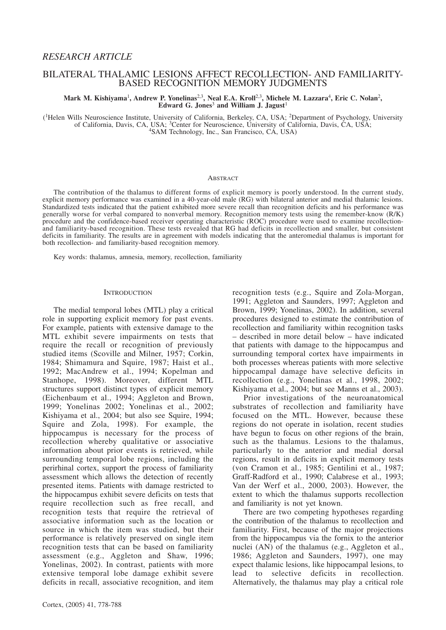# BILATERAL THALAMIC LESIONS AFFECT RECOLLECTION- AND FAMILIARITY-BASED RECOGNITION MEMORY JUDGMENTS

### **Mark M. Kishiyama**1**, Andrew P. Yonelinas**2,3**, Neal E.A. Kroll**2,3**, Michele M. Lazzara**4**, Eric C. Nolan**2**,**  Edward G. Jones<sup>3</sup> and William J. Jagust<sup>1</sup>

(1Helen Wills Neuroscience Institute, University of California, Berkeley, CA, USA; 2Department of Psychology, University of California, Davis, CA, USA; <sup>3</sup>Center for Neuroscience, University of California, Davis, CA, USA; <sup>4</sup>SAM Technology, Inc., San Francisco, CA, USA)

#### **ABSTRACT**

The contribution of the thalamus to different forms of explicit memory is poorly understood. In the current study, explicit memory performance was examined in a 40-year-old male (RG) with bilateral anterior and medial thalamic lesions. Standardized tests indicated that the patient exhibited more severe recall than recognition deficits and his performance was generally worse for verbal compared to nonverbal memory. Recognition memory tests using the remember-know (R/K) procedure and the confidence-based receiver operating characteristic (ROC) procedure were used to examine recollectionand familiarity-based recognition. These tests revealed that RG had deficits in recollection and smaller, but consistent deficits in familiarity. The results are in agreement with models indicating that the anteromedial thalamus is important for both recollection- and familiarity-based recognition memory.

Key words: thalamus, amnesia, memory, recollection, familiarity

#### **INTRODUCTION**

The medial temporal lobes (MTL) play a critical role in supporting explicit memory for past events. For example, patients with extensive damage to the MTL exhibit severe impairments on tests that require the recall or recognition of previously studied items (Scoville and Milner, 1957; Corkin, 1984; Shimamura and Squire, 1987; Haist et al., 1992; MacAndrew et al., 1994; Kopelman and Stanhope, 1998). Moreover, different MTL structures support distinct types of explicit memory (Eichenbaum et al., 1994; Aggleton and Brown, 1999; Yonelinas 2002; Yonelinas et al., 2002; Kishiyama et al., 2004; but also see Squire, 1994; Squire and Zola, 1998). For example, the hippocampus is necessary for the process of recollection whereby qualitative or associative information about prior events is retrieved, while surrounding temporal lobe regions, including the perirhinal cortex, support the process of familiarity assessment which allows the detection of recently presented items. Patients with damage restricted to the hippocampus exhibit severe deficits on tests that require recollection such as free recall, and recognition tests that require the retrieval of associative information such as the location or source in which the item was studied, but their performance is relatively preserved on single item recognition tests that can be based on familiarity assessment (e.g., Aggleton and Shaw, 1996; Yonelinas, 2002). In contrast, patients with more extensive temporal lobe damage exhibit severe deficits in recall, associative recognition, and item

recognition tests (e.g., Squire and Zola-Morgan, 1991; Aggleton and Saunders, 1997; Aggleton and Brown, 1999; Yonelinas, 2002). In addition, several procedures designed to estimate the contribution of recollection and familiarity within recognition tasks – described in more detail below – have indicated that patients with damage to the hippocampus and surrounding temporal cortex have impairments in both processes whereas patients with more selective hippocampal damage have selective deficits in recollection (e.g., Yonelinas et al., 1998, 2002; Kishiyama et al., 2004; but see Manns et al., 2003).

Prior investigations of the neuroanatomical substrates of recollection and familiarity have focused on the MTL. However, because these regions do not operate in isolation, recent studies have begun to focus on other regions of the brain, such as the thalamus. Lesions to the thalamus, particularly to the anterior and medial dorsal regions, result in deficits in explicit memory tests (von Cramon et al., 1985; Gentilini et al., 1987; Graff-Radford et al., 1990; Calabrese et al., 1993; Van der Werf et al., 2000, 2003). However, the extent to which the thalamus supports recollection and familiarity is not yet known.

There are two competing hypotheses regarding the contribution of the thalamus to recollection and familiarity. First, because of the major projections from the hippocampus via the fornix to the anterior nuclei (AN) of the thalamus (e.g., Aggleton et al., 1986; Aggleton and Saunders, 1997), one may expect thalamic lesions, like hippocampal lesions, to lead to selective deficits in recollection. Alternatively, the thalamus may play a critical role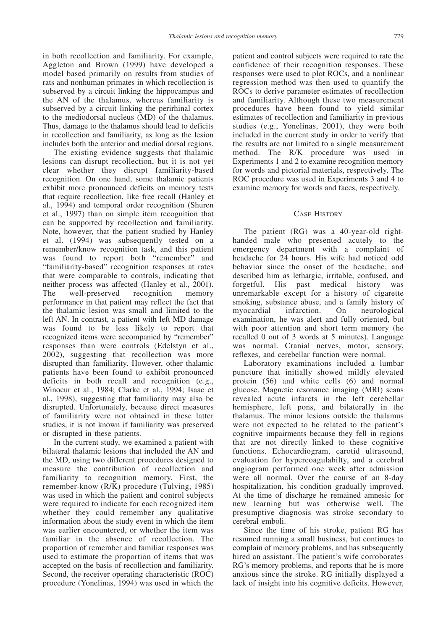in both recollection and familiarity. For example, Aggleton and Brown (1999) have developed a model based primarily on results from studies of rats and nonhuman primates in which recollection is subserved by a circuit linking the hippocampus and the AN of the thalamus, whereas familiarity is subserved by a circuit linking the perirhinal cortex to the mediodorsal nucleus (MD) of the thalamus. Thus, damage to the thalamus should lead to deficits in recollection and familiarity, as long as the lesion includes both the anterior and medial dorsal regions.

The existing evidence suggests that thalamic lesions can disrupt recollection, but it is not yet clear whether they disrupt familiarity-based recognition. On one hand, some thalamic patients exhibit more pronounced deficits on memory tests that require recollection, like free recall (Hanley et al., 1994) and temporal order recognition (Shuren et al., 1997) than on simple item recognition that can be supported by recollection and familiarity. Note, however, that the patient studied by Hanley et al. (1994) was subsequently tested on a remember/know recognition task, and this patient was found to report both "remember" and "familiarity-based" recognition responses at rates that were comparable to controls, indicating that neither process was affected (Hanley et al., 2001). The well-preserved recognition memory performance in that patient may reflect the fact that the thalamic lesion was small and limited to the left AN. In contrast, a patient with left MD damage was found to be less likely to report that recognized items were accompanied by "remember" responses than were controls (Edelstyn et al., 2002), suggesting that recollection was more disrupted than familiarity. However, other thalamic patients have been found to exhibit pronounced deficits in both recall and recognition (e.g., Winocur et al., 1984; Clarke et al., 1994; Isaac et al., 1998), suggesting that familiarity may also be disrupted. Unfortunately, because direct measures of familiarity were not obtained in these latter studies, it is not known if familiarity was preserved or disrupted in these patients.

In the current study, we examined a patient with bilateral thalamic lesions that included the AN and the MD, using two different procedures designed to measure the contribution of recollection and familiarity to recognition memory. First, the remember-know (R/K) procedure (Tulving, 1985) was used in which the patient and control subjects were required to indicate for each recognized item whether they could remember any qualitative information about the study event in which the item was earlier encountered, or whether the item was familiar in the absence of recollection. The proportion of remember and familiar responses was used to estimate the proportion of items that was accepted on the basis of recollection and familiarity. Second, the receiver operating characteristic (ROC) procedure (Yonelinas, 1994) was used in which the

patient and control subjects were required to rate the confidence of their recognition responses. These responses were used to plot ROCs, and a nonlinear regression method was then used to quantify the ROCs to derive parameter estimates of recollection and familiarity. Although these two measurement procedures have been found to yield similar estimates of recollection and familiarity in previous studies (e.g., Yonelinas, 2001), they were both included in the current study in order to verify that the results are not limited to a single measurement method. The R/K procedure was used in Experiments 1 and 2 to examine recognition memory for words and pictorial materials, respectively. The ROC procedure was used in Experiments 3 and 4 to examine memory for words and faces, respectively.

## CASE HISTORY

The patient (RG) was a 40-year-old righthanded male who presented acutely to the emergency department with a complaint of headache for 24 hours. His wife had noticed odd behavior since the onset of the headache, and described him as lethargic, irritable, confused, and forgetful. His past medical history was unremarkable except for a history of cigarette smoking, substance abuse, and a family history of myocardial infarction. On neurological examination, he was alert and fully oriented, but with poor attention and short term memory (he recalled 0 out of 3 words at 5 minutes). Language was normal. Cranial nerves, motor, sensory, reflexes, and cerebellar function were normal.

Laboratory examinations included a lumbar puncture that initially showed mildly elevated protein (56) and white cells (6) and normal glucose. Magnetic resonance imaging (MRI) scans revealed acute infarcts in the left cerebellar hemisphere, left pons, and bilaterally in the thalamus. The minor lesions outside the thalamus were not expected to be related to the patient's cognitive impairments because they fell in regions that are not directly linked to these cognitive functions. Echocardiogram, carotid ultrasound, evaluation for hypercoagulabilty, and a cerebral angiogram performed one week after admission were all normal. Over the course of an 8-day hospitalization, his condition gradually improved. At the time of discharge he remained amnesic for new learning but was otherwise well. The presumptive diagnosis was stroke secondary to cerebral emboli.

Since the time of his stroke, patient RG has resumed running a small business, but continues to complain of memory problems, and has subsequently hired an assistant. The patient's wife corroborates RG's memory problems, and reports that he is more anxious since the stroke. RG initially displayed a lack of insight into his cognitive deficits. However,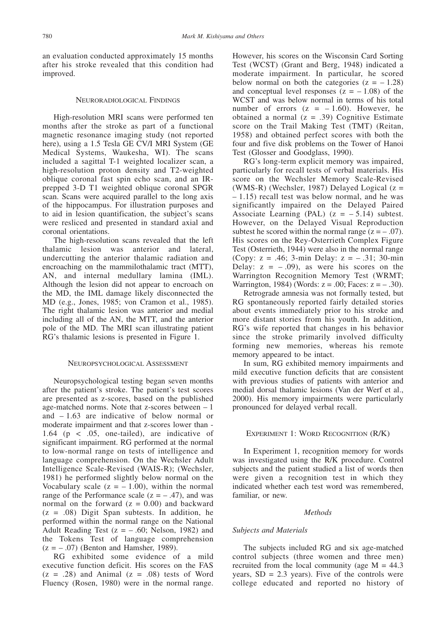an evaluation conducted approximately 15 months after his stroke revealed that this condition had improved.

#### NEURORADIOLOGICAL FINDINGS

High-resolution MRI scans were performed ten months after the stroke as part of a functional magnetic resonance imaging study (not reported here), using a 1.5 Tesla GE CV/I MRI System (GE Medical Systems, Waukesha, WI). The scans included a sagittal T-1 weighted localizer scan, a high-resolution proton density and T2-weighted oblique coronal fast spin echo scan, and an IRprepped 3-D T1 weighted oblique coronal SPGR scan. Scans were acquired parallel to the long axis of the hippocampus. For illustration purposes and to aid in lesion quantification, the subject's scans were resliced and presented in standard axial and coronal orientations.

The high-resolution scans revealed that the left thalamic lesion was anterior and lateral, undercutting the anterior thalamic radiation and encroaching on the mammilothalamic tract (MTT), AN, and internal medullary lamina (IML). Although the lesion did not appear to encroach on the MD, the IML damage likely disconnected the MD (e.g., Jones, 1985; von Cramon et al., 1985). The right thalamic lesion was anterior and medial including all of the AN, the MTT, and the anterior pole of the MD. The MRI scan illustrating patient RG's thalamic lesions is presented in Figure 1.

#### NEUROPSYCHOLOGICAL ASSESSMENT

Neuropsychological testing began seven months after the patient's stroke. The patient's test scores are presented as z-scores, based on the published age-matched norms. Note that z-scores between – 1 and – 1.63 are indicative of below normal or moderate impairment and that z-scores lower than - 1.64 (p < .05, one-tailed), are indicative of significant impairment. RG performed at the normal to low-normal range on tests of intelligence and language comprehension. On the Wechsler Adult Intelligence Scale-Revised (WAIS-R); (Wechsler, 1981) he performed slightly below normal on the Vocabulary scale  $(z = -1.00)$ , within the normal range of the Performance scale  $(z = -.47)$ , and was normal on the forward  $(z = 0.00)$  and backward  $(z = .08)$  Digit Span subtests. In addition, he performed within the normal range on the National Adult Reading Test  $(z = -.60;$  Nelson, 1982) and the Tokens Test of language comprehension  $(z = -.07)$  (Benton and Hamsher, 1989).

RG exhibited some evidence of a mild executive function deficit. His scores on the FAS  $(z = .28)$  and Animal  $(z = .08)$  tests of Word Fluency (Rosen, 1980) were in the normal range.

However, his scores on the Wisconsin Card Sorting Test (WCST) (Grant and Berg, 1948) indicated a moderate impairment. In particular, he scored below normal on both the categories  $(z = -1.28)$ and conceptual level responses  $(z = -1.08)$  of the WCST and was below normal in terms of his total number of errors  $(z = -1.60)$ . However, he obtained a normal  $(z = .39)$  Cognitive Estimate score on the Trail Making Test (TMT) (Reitan, 1958) and obtained perfect scores with both the four and five disk problems on the Tower of Hanoi Test (Glosser and Goodglass, 1990).

RG's long-term explicit memory was impaired, particularly for recall tests of verbal materials. His score on the Wechsler Memory Scale-Revised (WMS-R) (Wechsler, 1987) Delayed Logical  $(z =$ – 1.15) recall test was below normal, and he was significantly impaired on the Delayed Paired Associate Learning (PAL)  $(z = -5.14)$  subtest. However, on the Delayed Visual Reproduction subtest he scored within the normal range  $(z = -0.07)$ . His scores on the Rey-Osterrieth Complex Figure Test (Osterrieth, 1944) were also in the normal range (Copy:  $z = .46$ ; 3-min Delay:  $z = -.31$ ; 30-min Delay:  $z = -.09$ , as were his scores on the Warrington Recognition Memory Test (WRMT; Warrington, 1984) (Words:  $z = .00$ ; Faces:  $z = -.30$ ).

Retrograde amnesia was not formally tested, but RG spontaneously reported fairly detailed stories about events immediately prior to his stroke and more distant stories from his youth. In addition, RG's wife reported that changes in his behavior since the stroke primarily involved difficulty forming new memories, whereas his remote memory appeared to be intact.

In sum, RG exhibited memory impairments and mild executive function deficits that are consistent with previous studies of patients with anterior and medial dorsal thalamic lesions (Van der Werf et al., 2000). His memory impairments were particularly pronounced for delayed verbal recall.

#### EXPERIMENT 1: WORD RECOGNITION (R/K)

In Experiment 1, recognition memory for words was investigated using the R/K procedure. Control subjects and the patient studied a list of words then were given a recognition test in which they indicated whether each test word was remembered, familiar, or new.

#### *Methods*

#### *Subjects and Materials*

The subjects included RG and six age-matched control subjects (three women and three men) recruited from the local community (age  $M = 44.3$ ) years,  $SD = 2.3$  years). Five of the controls were college educated and reported no history of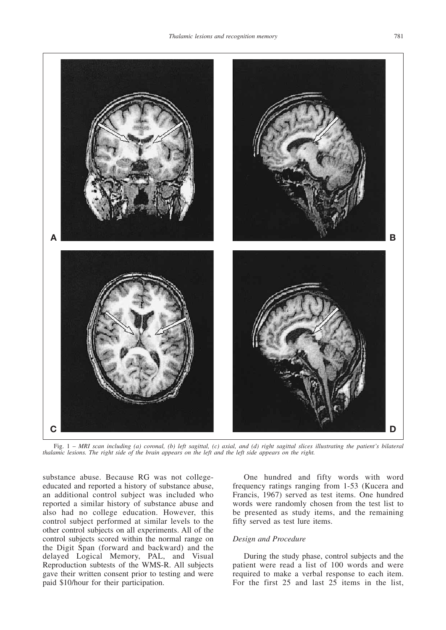*Thalamic lesions and recognition memory* 781



Fig. 1 – *MRI scan including (a) coronal, (b) left sagittal, (c) axial, and (d) right sagittal slices illustrating the patient's bilateral thalamic lesions. The right side of the brain appears on the left and the left side appears on the right.*

substance abuse. Because RG was not collegeeducated and reported a history of substance abuse, an additional control subject was included who reported a similar history of substance abuse and also had no college education. However, this control subject performed at similar levels to the other control subjects on all experiments. All of the control subjects scored within the normal range on the Digit Span (forward and backward) and the delayed Logical Memory, PAL, and Visual Reproduction subtests of the WMS-R. All subjects gave their written consent prior to testing and were paid \$10/hour for their participation.

One hundred and fifty words with word frequency ratings ranging from 1-53 (Kucera and Francis, 1967) served as test items. One hundred words were randomly chosen from the test list to be presented as study items, and the remaining fifty served as test lure items.

# *Design and Procedure*

During the study phase, control subjects and the patient were read a list of 100 words and were required to make a verbal response to each item. For the first 25 and last 25 items in the list,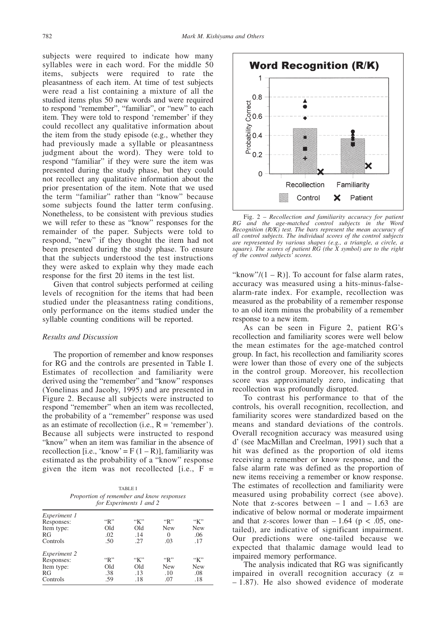subjects were required to indicate how many syllables were in each word. For the middle 50 items, subjects were required to rate the pleasantness of each item. At time of test subjects were read a list containing a mixture of all the studied items plus 50 new words and were required to respond "remember", "familiar", or "new" to each item. They were told to respond 'remember' if they could recollect any qualitative information about the item from the study episode (e.g., whether they had previously made a syllable or pleasantness judgment about the word). They were told to respond "familiar" if they were sure the item was presented during the study phase, but they could not recollect any qualitative information about the prior presentation of the item. Note that we used the term "familiar" rather than "know" because some subjects found the latter term confusing. Nonetheless, to be consistent with previous studies we will refer to these as "know" responses for the remainder of the paper. Subjects were told to respond, "new" if they thought the item had not been presented during the study phase. To ensure that the subjects understood the test instructions they were asked to explain why they made each response for the first 20 items in the test list.

Given that control subjects performed at ceiling levels of recognition for the items that had been studied under the pleasantness rating conditions, only performance on the items studied under the syllable counting conditions will be reported.

### *Results and Discussion*

The proportion of remember and know responses for RG and the controls are presented in Table I. Estimates of recollection and familiarity were derived using the "remember" and "know" responses (Yonelinas and Jacoby, 1995) and are presented in Figure 2. Because all subjects were instructed to respond "remember" when an item was recollected, the probability of a "remember" response was used as an estimate of recollection (i.e.,  $R = 'remember'.$ ). Because all subjects were instructed to respond "know" when an item was familiar in the absence of recollection [i.e., 'know' =  $F(1 - R)$ ], familiarity was estimated as the probability of a "know" response given the item was not recollected [i.e.,  $F =$ 

TABLE I *Proportion of remember and know responses for Experiments 1 and 2*

| Experiment 1 |     |     |            |     |
|--------------|-----|-----|------------|-----|
| Responses:   | "R" | "K" | "R"        | "К" |
| Item type:   | Old | Old | New        | New |
| <b>RG</b>    | .02 | .14 | 0          | .06 |
| Controls     | .50 | .27 | .03        | .17 |
| Experiment 2 |     |     |            |     |
| Responses:   | "R" | "K" | "R"        | "К" |
| Item type:   | Old | Old | <b>New</b> | New |
| RG           | .38 | .13 | .10        | .08 |
| Controls     | .59 | .18 | .07        | .18 |



Fig. 2 – *Recollection and familiarity accuracy for patient RG and the age-matched control subjects in the Word Recognition (R/K) test. The bars represent the mean accuracy of all control subjects. The individual scores of the control subjects are represented by various shapes (e.g., a triangle, a circle, a square). The scores of patient RG (the X symbol) are to the right of the control subjects' scores.*

"know"/ $(1 - R)$ ]. To account for false alarm rates, accuracy was measured using a hits-minus-falsealarm-rate index. For example, recollection was measured as the probability of a remember response to an old item minus the probability of a remember response to a new item.

As can be seen in Figure 2, patient RG's recollection and familiarity scores were well below the mean estimates for the age-matched control group. In fact, his recollection and familiarity scores were lower than those of every one of the subjects in the control group. Moreover, his recollection score was approximately zero, indicating that recollection was profoundly disrupted.

To contrast his performance to that of the controls, his overall recognition, recollection, and familiarity scores were standardized based on the means and standard deviations of the controls. Overall recognition accuracy was measured using d' (see MacMillan and Creelman, 1991) such that a hit was defined as the proportion of old items receiving a remember or know response, and the false alarm rate was defined as the proportion of new items receiving a remember or know response. The estimates of recollection and familiarity were measured using probability correct (see above). Note that z-scores between  $-1$  and  $-1.63$  are indicative of below normal or moderate impairment and that z-scores lower than  $-1.64$  ( $p < .05$ , onetailed), are indicative of significant impairment. Our predictions were one-tailed because we expected that thalamic damage would lead to impaired memory performance.

The analysis indicated that RG was significantly impaired in overall recognition accuracy  $(z =$ – 1.87). He also showed evidence of moderate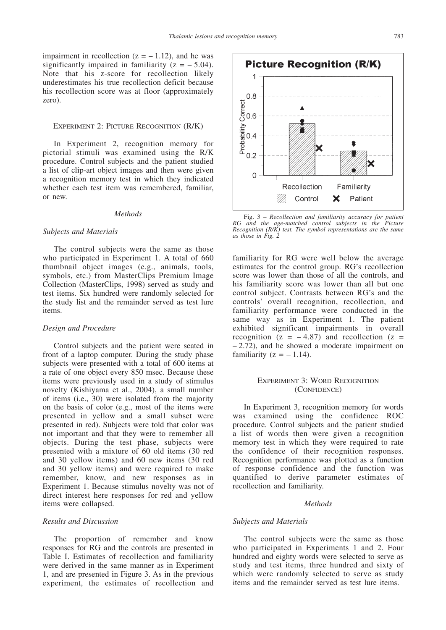impairment in recollection  $(z = -1.12)$ , and he was significantly impaired in familiarity  $(z = -5.04)$ . Note that his z-score for recollection likely underestimates his true recollection deficit because his recollection score was at floor (approximately zero).

### EXPERIMENT 2: PICTURE RECOGNITION (R/K)

In Experiment 2, recognition memory for pictorial stimuli was examined using the R/K procedure. Control subjects and the patient studied a list of clip-art object images and then were given a recognition memory test in which they indicated whether each test item was remembered, familiar, or new.

### *Methods*

#### *Subjects and Materials*

The control subjects were the same as those who participated in Experiment 1. A total of 660 thumbnail object images (e.g., animals, tools, symbols, etc.) from MasterClips Premium Image Collection (MasterClips, 1998) served as study and test items. Six hundred were randomly selected for the study list and the remainder served as test lure items.

### *Design and Procedure*

Control subjects and the patient were seated in front of a laptop computer. During the study phase subjects were presented with a total of 600 items at a rate of one object every 850 msec. Because these items were previously used in a study of stimulus novelty (Kishiyama et al., 2004), a small number of items (i.e., 30) were isolated from the majority on the basis of color (e.g., most of the items were presented in yellow and a small subset were presented in red). Subjects were told that color was not important and that they were to remember all objects. During the test phase, subjects were presented with a mixture of 60 old items (30 red and 30 yellow items) and 60 new items (30 red and 30 yellow items) and were required to make remember, know, and new responses as in Experiment 1. Because stimulus novelty was not of direct interest here responses for red and yellow items were collapsed.

### *Results and Discussion*

The proportion of remember and know responses for RG and the controls are presented in Table I. Estimates of recollection and familiarity were derived in the same manner as in Experiment 1, and are presented in Figure 3. As in the previous experiment, the estimates of recollection and

Fig. 3 – *Recollection and familiarity accuracy for patient RG and the age-matched control subjects in the Picture Recognition (R/K) test. The symbol representations are the same as those in Fig. 2*

familiarity for RG were well below the average estimates for the control group. RG's recollection score was lower than those of all the controls, and his familiarity score was lower than all but one control subject. Contrasts between RG's and the controls' overall recognition, recollection, and familiarity performance were conducted in the same way as in Experiment 1. The patient exhibited significant impairments in overall recognition  $(z = -4.87)$  and recollection  $(z =$ – 2.72), and he showed a moderate impairment on familiarity ( $z = -1.14$ ).

### EXPERIMENT 3: WORD RECOGNITION (CONFIDENCE)

In Experiment 3, recognition memory for words was examined using the confidence ROC procedure. Control subjects and the patient studied a list of words then were given a recognition memory test in which they were required to rate the confidence of their recognition responses. Recognition performance was plotted as a function of response confidence and the function was quantified to derive parameter estimates of recollection and familiarity.

### *Methods*

### *Subjects and Materials*

The control subjects were the same as those who participated in Experiments 1 and 2. Four hundred and eighty words were selected to serve as study and test items, three hundred and sixty of which were randomly selected to serve as study items and the remainder served as test lure items.

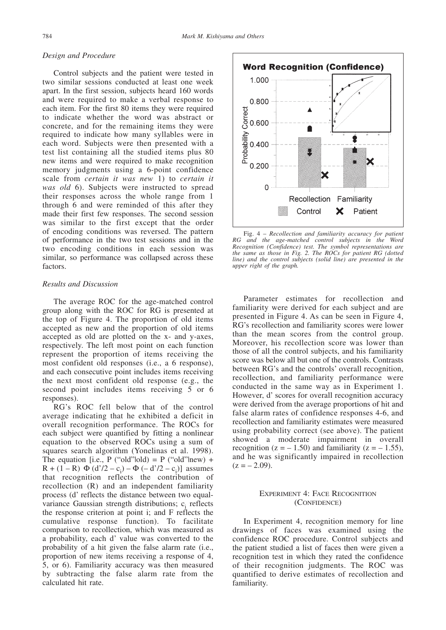#### *Design and Procedure*

Control subjects and the patient were tested in two similar sessions conducted at least one week apart. In the first session, subjects heard 160 words and were required to make a verbal response to each item. For the first 80 items they were required to indicate whether the word was abstract or concrete, and for the remaining items they were required to indicate how many syllables were in each word. Subjects were then presented with a test list containing all the studied items plus 80 new items and were required to make recognition memory judgments using a 6-point confidence scale from *certain it was new* 1) to *certain it was old* 6). Subjects were instructed to spread their responses across the whole range from 1 through 6 and were reminded of this after they made their first few responses. The second session was similar to the first except that the order of encoding conditions was reversed. The pattern of performance in the two test sessions and in the two encoding conditions in each session was similar, so performance was collapsed across these factors.

#### *Results and Discussion*

The average ROC for the age-matched control group along with the ROC for RG is presented at the top of Figure 4. The proportion of old items accepted as new and the proportion of old items accepted as old are plotted on the x- and y-axes, respectively. The left most point on each function represent the proportion of items receiving the most confident old responses (i.e., a 6 response), and each consecutive point includes items receiving the next most confident old response (e.g., the second point includes items receiving 5 or 6 responses).

RG's ROC fell below that of the control average indicating that he exhibited a deficit in overall recognition performance. The ROCs for each subject were quantified by fitting a nonlinear equation to the observed ROCs using a sum of squares search algorithm (Yonelinas et al. 1998). The equation [i.e., P ("old" $old$ " $old$ ") = P ("old" $new$ ) + R + (1 – R)  $\Phi$  (d'/2 – c<sub>i</sub>) –  $\Phi$  (– d'/2 – c<sub>i</sub>)] assumes that recognition reflects the contribution of recollection (R) and an independent familiarity process (d' reflects the distance between two equalvariance Gaussian strength distributions; c. reflects the response criterion at point i; and F reflects the cumulative response function). To facilitate comparison to recollection, which was measured as a probability, each d' value was converted to the probability of a hit given the false alarm rate (i.e., proportion of new items receiving a response of 4, 5, or 6). Familiarity accuracy was then measured by subtracting the false alarm rate from the calculated hit rate.



Fig. 4 – *Recollection and familiarity accuracy for patient RG and the age-matched control subjects in the Word Recognition (Confidence) test. The symbol representations are the same as those in Fig. 2. The ROCs for patient RG (dotted line) and the control subjects (solid line) are presented in the upper right of the graph.*

Parameter estimates for recollection and familiarity were derived for each subject and are presented in Figure 4. As can be seen in Figure 4, RG's recollection and familiarity scores were lower than the mean scores from the control group. Moreover, his recollection score was lower than those of all the control subjects, and his familiarity score was below all but one of the controls. Contrasts between RG's and the controls' overall recognition, recollection, and familiarity performance were conducted in the same way as in Experiment 1. However, d' scores for overall recognition accuracy were derived from the average proportions of hit and false alarm rates of confidence responses 4-6, and recollection and familiarity estimates were measured using probability correct (see above). The patient showed a moderate impairment in overall recognition ( $z = -1.50$ ) and familiarity ( $z = -1.55$ ), and he was significantly impaired in recollection  $(z = -2.09)$ .

## EXPERIMENT 4: FACE RECOGNITION (CONFIDENCE)

In Experiment 4, recognition memory for line drawings of faces was examined using the confidence ROC procedure. Control subjects and the patient studied a list of faces then were given a recognition test in which they rated the confidence of their recognition judgments. The ROC was quantified to derive estimates of recollection and familiarity.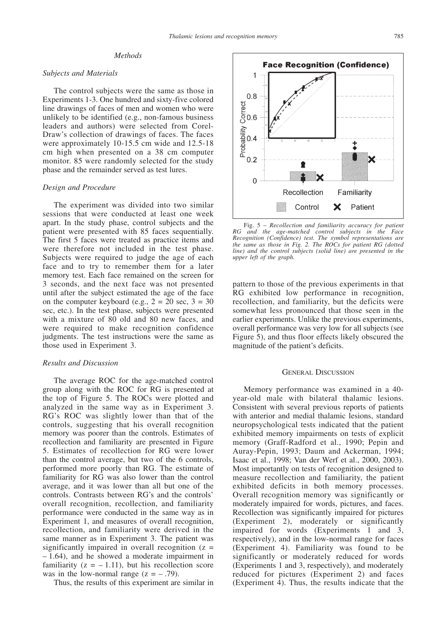## *Methods*

### *Subjects and Materials*

The control subjects were the same as those in Experiments 1-3. One hundred and sixty-five colored line drawings of faces of men and women who were unlikely to be identified (e.g., non-famous business leaders and authors) were selected from Corel-Draw's collection of drawings of faces. The faces were approximately 10-15.5 cm wide and 12.5-18 cm high when presented on a 38 cm computer monitor. 85 were randomly selected for the study phase and the remainder served as test lures.

#### *Design and Procedure*

The experiment was divided into two similar sessions that were conducted at least one week apart. In the study phase, control subjects and the patient were presented with 85 faces sequentially. The first 5 faces were treated as practice items and were therefore not included in the test phase. Subjects were required to judge the age of each face and to try to remember them for a later memory test. Each face remained on the screen for 3 seconds, and the next face was not presented until after the subject estimated the age of the face on the computer keyboard (e.g.,  $2 = 20$  sec,  $3 = 30$ sec, etc.). In the test phase, subjects were presented with a mixture of 80 old and 80 new faces, and were required to make recognition confidence judgments. The test instructions were the same as those used in Experiment 3.

### *Results and Discussion*

The average ROC for the age-matched control group along with the ROC for RG is presented at the top of Figure 5. The ROCs were plotted and analyzed in the same way as in Experiment 3. RG's ROC was slightly lower than that of the controls, suggesting that his overall recognition memory was poorer than the controls. Estimates of recollection and familiarity are presented in Figure 5. Estimates of recollection for RG were lower than the control average, but two of the 6 controls, performed more poorly than RG. The estimate of familiarity for RG was also lower than the control average, and it was lower than all but one of the controls. Contrasts between RG's and the controls' overall recognition, recollection, and familiarity performance were conducted in the same way as in Experiment 1, and measures of overall recognition, recollection, and familiarity were derived in the same manner as in Experiment 3. The patient was significantly impaired in overall recognition  $(z =$ – 1.64), and he showed a moderate impairment in familiarity  $(z = -1.11)$ , but his recollection score was in the low-normal range  $(z = -.79)$ .

Thus, the results of this experiment are similar in

X  $\overline{0}$ Recollection Familiarity Control Х Patient Fig. 5 – *Recollection and familiarity accuracy for patient RG and the age-matched control subjects in the Face Recognition (Confidence) test. The symbol representations are the same as those in Fig. 2. The ROCs for patient RG (dotted line) and the control subjects (solid line) are presented in the upper left of the graph.*

pattern to those of the previous experiments in that RG exhibited low performance in recognition, recollection, and familiarity, but the deficits were somewhat less pronounced that those seen in the earlier experiments. Unlike the previous experiments, overall performance was very low for all subjects (see Figure 5), and thus floor effects likely obscured the magnitude of the patient's deficits.

#### GENERAL DISCUSSION

Memory performance was examined in a 40 year-old male with bilateral thalamic lesions. Consistent with several previous reports of patients with anterior and medial thalamic lesions, standard neuropsychological tests indicated that the patient exhibited memory impairments on tests of explicit memory (Graff-Radford et al., 1990; Pepin and Auray-Pepin, 1993; Daum and Ackerman, 1994; Isaac et al., 1998; Van der Werf et al., 2000, 2003). Most importantly on tests of recognition designed to measure recollection and familiarity, the patient exhibited deficits in both memory processes. Overall recognition memory was significantly or moderately impaired for words, pictures, and faces. Recollection was significantly impaired for pictures (Experiment 2), moderately or significantly impaired for words (Experiments 1 and 3, respectively), and in the low-normal range for faces (Experiment 4). Familiarity was found to be significantly or moderately reduced for words (Experiments 1 and 3, respectively), and moderately reduced for pictures (Experiment 2) and faces (Experiment 4). Thus, the results indicate that the

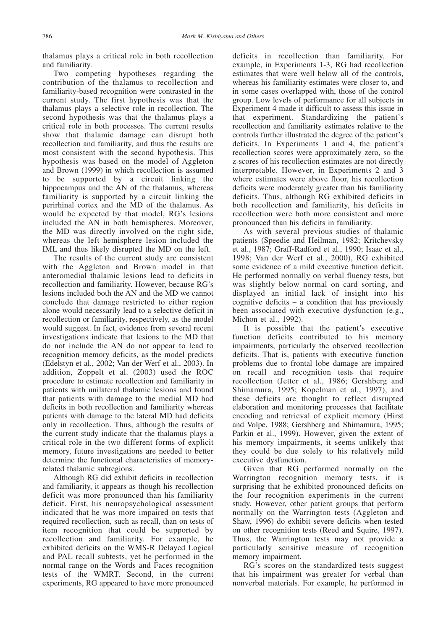thalamus plays a critical role in both recollection and familiarity.

Two competing hypotheses regarding the contribution of the thalamus to recollection and familiarity-based recognition were contrasted in the current study. The first hypothesis was that the thalamus plays a selective role in recollection. The second hypothesis was that the thalamus plays a critical role in both processes. The current results show that thalamic damage can disrupt both recollection and familiarity, and thus the results are most consistent with the second hypothesis. This hypothesis was based on the model of Aggleton and Brown (1999) in which recollection is assumed to be supported by a circuit linking the hippocampus and the AN of the thalamus, whereas familiarity is supported by a circuit linking the perirhinal cortex and the MD of the thalamus. As would be expected by that model, RG's lesions included the AN in both hemispheres. Moreover, the MD was directly involved on the right side, whereas the left hemisphere lesion included the IML and thus likely disrupted the MD on the left.

The results of the current study are consistent with the Aggleton and Brown model in that anteromedial thalamic lesions lead to deficits in recollection and familiarity. However, because RG's lesions included both the AN and the MD we cannot conclude that damage restricted to either region alone would necessarily lead to a selective deficit in recollection or familiarity, respectively, as the model would suggest. In fact, evidence from several recent investigations indicate that lesions to the MD that do not include the AN do not appear to lead to recognition memory deficits, as the model predicts (Edelstyn et al., 2002; Van der Werf et al., 2003). In addition, Zoppelt et al. (2003) used the ROC procedure to estimate recollection and familiarity in patients with unilateral thalamic lesions and found that patients with damage to the medial MD had deficits in both recollection and familiarity whereas patients with damage to the lateral MD had deficits only in recollection. Thus, although the results of the current study indicate that the thalamus plays a critical role in the two different forms of explicit memory, future investigations are needed to better determine the functional characteristics of memoryrelated thalamic subregions.

Although RG did exhibit deficits in recollection and familiarity, it appears as though his recollection deficit was more pronounced than his familiarity deficit. First, his neuropsychological assessment indicated that he was more impaired on tests that required recollection, such as recall, than on tests of item recognition that could be supported by recollection and familiarity. For example, he exhibited deficits on the WMS-R Delayed Logical and PAL recall subtests, yet he performed in the normal range on the Words and Faces recognition tests of the WMRT. Second, in the current experiments, RG appeared to have more pronounced

deficits in recollection than familiarity. For example, in Experiments 1-3, RG had recollection estimates that were well below all of the controls, whereas his familiarity estimates were closer to, and in some cases overlapped with, those of the control group. Low levels of performance for all subjects in Experiment 4 made it difficult to assess this issue in that experiment. Standardizing the patient's recollection and familiarity estimates relative to the controls further illustrated the degree of the patient's deficits. In Experiments 1 and 4, the patient's recollection scores were approximately zero, so the z-scores of his recollection estimates are not directly interpretable. However, in Experiments 2 and 3 where estimates were above floor, his recollection deficits were moderately greater than his familiarity deficits. Thus, although RG exhibited deficits in both recollection and familiarity, his deficits in recollection were both more consistent and more pronounced than his deficits in familiarity.

As with several previous studies of thalamic patients (Speedie and Heilman, 1982; Kritchevsky et al., 1987; Graff-Radford et al., 1990; Isaac et al., 1998; Van der Werf et al., 2000), RG exhibited some evidence of a mild executive function deficit. He performed normally on verbal fluency tests, but was slightly below normal on card sorting, and displayed an initial lack of insight into his cognitive deficits – a condition that has previously been associated with executive dysfunction (e.g., Michon et al., 1992).

It is possible that the patient's executive function deficits contributed to his memory impairments, particularly the observed recollection deficits. That is, patients with executive function problems due to frontal lobe damage are impaired on recall and recognition tests that require recollection (Jetter et al., 1986; Gershberg and Shimamura, 1995; Kopelman et al., 1997), and these deficits are thought to reflect disrupted elaboration and monitoring processes that facilitate encoding and retrieval of explicit memory (Hirst and Volpe, 1988; Gershberg and Shimamura, 1995; Parkin et al., 1999). However, given the extent of his memory impairments, it seems unlikely that they could be due solely to his relatively mild executive dysfunction.

Given that RG performed normally on the Warrington recognition memory tests, it is surprising that he exhibited pronounced deficits on the four recognition experiments in the current study. However, other patient groups that perform normally on the Warrington tests (Aggleton and Shaw, 1996) do exhibit severe deficits when tested on other recognition tests (Reed and Squire, 1997). Thus, the Warrington tests may not provide a particularly sensitive measure of recognition memory impairment.

RG's scores on the standardized tests suggest that his impairment was greater for verbal than nonverbal materials. For example, he performed in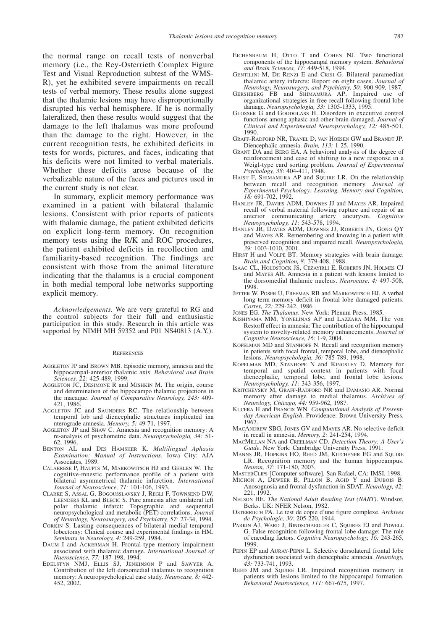the normal range on recall tests of nonverbal memory (i.e., the Rey-Osterrieth Complex Figure Test and Visual Reproduction subtest of the WMS-R), yet he exhibited severe impairments on recall tests of verbal memory. These results alone suggest that the thalamic lesions may have disproportionally disrupted his verbal hemisphere. If he is normally lateralized, then these results would suggest that the damage to the left thalamus was more profound than the damage to the right. However, in the current recognition tests, he exhibited deficits in tests for words, pictures, and faces, indicating that his deficits were not limited to verbal materials. Whether these deficits arose because of the verbalizable nature of the faces and pictures used in the current study is not clear.

In summary, explicit memory performance was examined in a patient with bilateral thalamic lesions. Consistent with prior reports of patients with thalamic damage, the patient exhibited deficits on explicit long-term memory. On recognition memory tests using the R/K and ROC procedures, the patient exhibited deficits in recollection and familiarity-based recognition. The findings are consistent with those from the animal literature indicating that the thalamus is a crucial component in both medial temporal lobe networks supporting explicit memory.

*Acknowledgements.* We are very grateful to RG and the control subjects for their full and enthusiastic participation in this study. Research in this article was supported by NIMH MH 59352 and P01 NS40813 (A.Y.).

#### **REFERENCES**

- AGGLETON JP and BROWN MB. Episodic memory, amnesia and the hippocampal-anterior thalamic axis. *Behavioral and Brain Sciences, 22:* 425-489, 1999.
- AGGLETON JC, DESIMONE R and MISHKIN M. The origin, course and determination of the hippocampo thalamic projections in the macaque. *Journal of Comparative Neurology, 243:* 409- 421, 1986.
- AGGLETON JC and SAUNDERS RC. The relationship between temporal lob and diencephalic structures implicated ina nterograde amnesia. *Memory, 5:* 49-71, 1997.
- AGGLETON JP and SHAW C. Amnesia and recognition memory: A re-analysis of psychometric data. *Neuropsychologia, 34:* 51- 62, 1996.
- BENTON AL and DES HAMSHER K. *Multilingual Aphasia Examination: Manual of Instructions*. Iowa City: AJA Associates, 1989.
- CALABRESE P, HAUPTS M, MARKOWITSCH HJ and GEHLEN W. The cognitive-mnestic performance profile of a patient with bilateral asymmetrical thalamic infarction. *International Journal of Neuroscience, 71:* 101-106, 1993.
- CLARKE S, ASSAL G, BOGOUSSLAVSKY J, REGLI F, TOWNSEND DW, LEENDERS KL and BLECIC S. Pure amnesia after unilateral left polar thalamic infarct: Topographic and sequential neuropsychological and metabolic (PET) correlations. *Journal of Neurology, Neurosurgery, and Psychiatry, 57:* 27-34, 1994.
- CORKIN S. Lasting consequences of bilateral medial temporal lobectomy: Clinical course and experimental findings in HM. *Seminars in Neurology, 4:* 249-259, 1984.
- DAUM I and ACKERMAN H. Frontal-type memory impairment associated with thalamic damage. *International Journal of Nueroscience, 77:* 187-198, 1994.
- EDELSTYN NMJ, ELLIS SJ, JENKINSON P and SAWYER A. Contribution of the left dorsomedial thalamus to recognition memory: A neuropsychological case study. *Neurocase, 8:* 442- 452, 2002.
- EICHENBAUM H, OTTO T and COHEN NJ. Two functional components of the hippocampal memory system. *Behavioral and Brain Sciences, 17:* 449-518, 1994.
- GENTILINI M, DE RENZI E and CRISI G. Bilateral paramedian thalamic artery infarcts: Report on eight cases. *Journal of Neurology, Neurosurgery, and Psychiatry, 50:* 900-909, 1987.
- GERSHBERG FB and SHIMAMURA AP. Impaired use of organizational strategies in free recall following frontal lobe damage. *Neuropsychologia, 33:* 1305-1333, 1995.
- GLOSSER G and GOODGLASS H. Disorders in executive control functions among aphasic and other brain-damaged. *Journal of Clinical and Experimental Neuropsychology, 12:* 485-501, 1990.
- GRAFF-RADFORD NR, TRANEL D, VAN HOESEN GW and BRANDT JP. Diencephalic amnesia. *Brain, 113:* 1-25, 1990.
- GRANT DA and BERG EA. A behavioral analysis of the degree of reinforcement and ease of shifting to a new response in a Weigl-type card sorting problem. *Journal of Experimental Psychology, 38:* 404-411, 1948.
- HAIST F, SHIMAMURA AP and SQUIRE LR. On the relationship between recall and recognition memory. *Journal of Experimental Psychology: Learning, Memory and Cognition, 18:* 691-702, 1992.
- HANLEY JR, DAVIES ADM, DOWNES JJ and MAYES AR. Impaired recall of verbal material following rupture and repair of an anterior communicating artery aneurysm. *Cognitive Neuropsychology, 11:* 543-578, 1994.
- HANLEY JR, DAVIES ADM, DOWNES JJ, ROBERTS JN, GONG QY and MAYES AR. Remembering and knowing in a patient with preserved recognition and impaired recall. *Neuropsychologia, 39:* 1003-1010, 2001.
- HIRST H and VOLPE BT. Memory strategies with brain damage. *Brain and Cognition, 8:* 379-408, 1988.
- ISAAC CL, HOLDSTOCK JS, CEZAYIRLI E, ROBERTS JN, HOLMES CJ and MAYES AR. Amnesia in a patient with lesions limited to the dorsomedial thalamic nucleus. *Neurocase, 4:* 497-508, 1998.
- JETTER W, POSER U, FREEMAN RB and MARKOWITSCH HJ. A verbal long term memory deficit in frontal lobe damaged patients. *Cortex, 22:* 229-242, 1986.
- JONES EG. *The Thalamus*. New York: Plenum Press, 1985.
- KISHIYAMA MM, YONELINAS AP and LAZZARA MM. The von Restorff effect in amnesia: The contribution of the hippocampal system to novelty-related memory enhancements. *Journal of Cognitive Neuroscience, 16:* 1-9, 2004.
- KOPELMAN MD and STANHOPE N. Recall and recognition memory in patients with focal frontal, temporal lobe, and diencephalic lesions. *Neuropsychologia, 36:* 785-789, 1998.
- KOPELMAN MD, STANHOPE N and KINGSLEY D. Memory for temporal and spatial context in patients with focal diencephalic, temporal lobe, and frontal lobe lesions. *Neuropsychology, 11:* 343-356, 1997.
- KRITCHEVSKY M, GRAFF-RADFORD NR and DAMASIO AR. Normal memory after damage to medial thalamus. *Archives of Neurology, Chicago, 44:* 959-962, 1987.
- KUCERA H and FRANCIS WN. *Computational Analysis of Presentday American English*. Providence: Brown University Press, 1967.
- MACANDREW SBG, JONES GV and MAYES AR. No selective deficit in recall in amnesia. *Memory, 2:* 241-254, 1994.
- MACMILLAN NA and CREELMAN CD. *Detection Theory: A User's Guide*. New York: Cambridge University Press, 1991.
- MANNS JR, HOPKINS HO, REED JM, KITCHENER EG and SQUIRE LR. Recognition memory and the human hippocampus. *Neuron, 37:* 171-180, 2003.
- MASTERCLIPS [Computer software]. San Rafael, CA: IMSI, 1998.
- MICHON A, DEWEER B, PILLON B, AGID Y and DUBOIS B. Anosognosia and frontal dysfunction in SDAT. *Neurology, 42:* 221, 1992.
- NELSON HE. *The National Adult Reading Test (NART)*. Windsor, Berks. UK: NFER Nelson, 1982.
- OSTERRIETH PA. Le test de copie d'une figure complexe. *Archives de Psychologie, 30:* 205-220, 1944.
- PARKIN AJ, WARD J, BINDSCHAEDLER C, SQUIRES EJ and POWELL G. False recognition following frontal lobe damage: The role of encoding factors. *Cognitive Neuropsychology, 16:* 243-265, 1999.
- PEPIN EP and AURAY-PEPIN L. Selective dorsolateral frontal lobe dysfunction associated with diencephalic amnesia. *Neurology, 43:* 733-741, 1993.
- REED JM and SQUIRE LR. Impaired recognition memory in patients with lesions limited to the hippocampal formation. *Behavioral Neuroscience, 111:* 667-675, 1997.